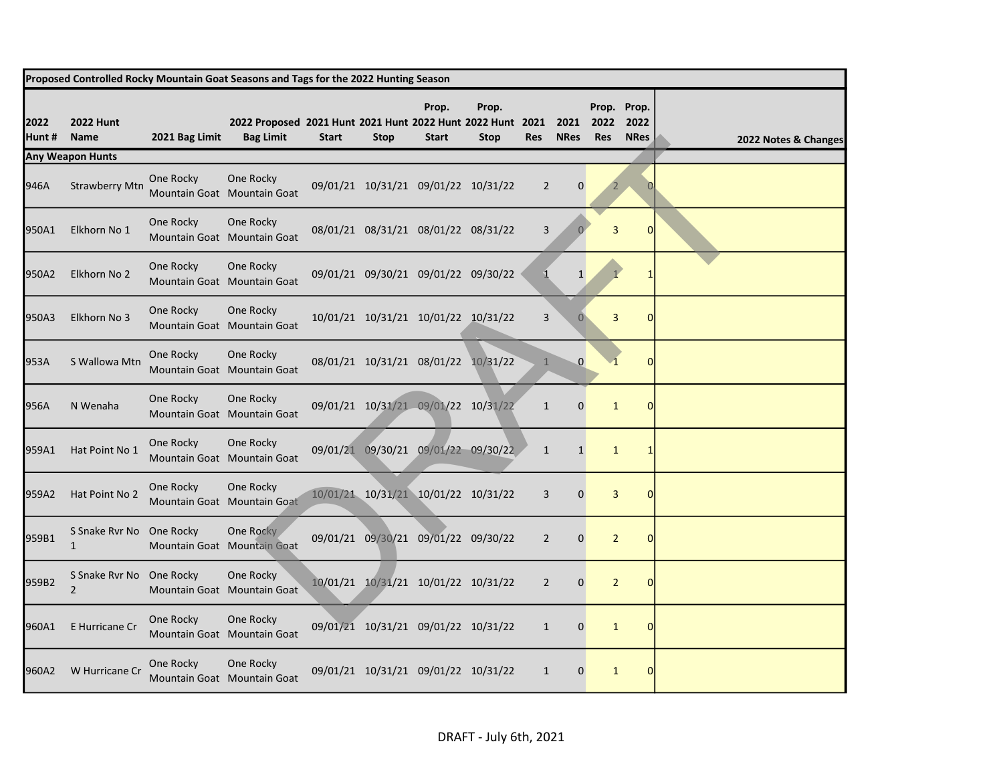| Proposed Controlled Rocky Mountain Goat Seasons and Tags for the 2022 Hunting Season |                                            |                |                                                                                |              |             |                                     |                      |                |                     |                    |                                    |                      |
|--------------------------------------------------------------------------------------|--------------------------------------------|----------------|--------------------------------------------------------------------------------|--------------|-------------|-------------------------------------|----------------------|----------------|---------------------|--------------------|------------------------------------|----------------------|
| 2022<br>Hunt #                                                                       | <b>2022 Hunt</b><br>Name                   | 2021 Bag Limit | 2022 Proposed 2021 Hunt 2021 Hunt 2022 Hunt 2022 Hunt 2021<br><b>Bag Limit</b> | <b>Start</b> | <b>Stop</b> | Prop.<br><b>Start</b>               | Prop.<br><b>Stop</b> | <b>Res</b>     | 2021<br><b>NRes</b> | 2022<br><b>Res</b> | Prop. Prop.<br>2022<br><b>NRes</b> | 2022 Notes & Changes |
|                                                                                      | <b>Any Weapon Hunts</b>                    |                |                                                                                |              |             |                                     |                      |                |                     |                    |                                    |                      |
| 946A                                                                                 | <b>Strawberry Mtn</b>                      | One Rocky      | One Rocky<br>Mountain Goat Mountain Goat                                       |              |             | 09/01/21 10/31/21 09/01/22 10/31/22 |                      | $\overline{2}$ | $\mathbf 0$         |                    |                                    |                      |
| 950A1                                                                                | Elkhorn No 1                               | One Rocky      | One Rocky<br>Mountain Goat Mountain Goat                                       |              |             | 08/01/21 08/31/21 08/01/22 08/31/22 |                      | 3              |                     | 3                  | $\Omega$                           |                      |
| 950A2                                                                                | Elkhorn No 2                               | One Rocky      | One Rocky<br>Mountain Goat Mountain Goat                                       |              |             | 09/01/21 09/30/21 09/01/22 09/30/22 |                      |                | $1\overline{ }$     |                    |                                    |                      |
| 950A3                                                                                | Elkhorn No 3                               | One Rocky      | One Rocky<br>Mountain Goat Mountain Goat                                       |              |             | 10/01/21 10/31/21 10/01/22 10/31/22 |                      | 3              | $\theta$            | 3                  | $\Omega$                           |                      |
| 953A                                                                                 | S Wallowa Mtn                              | One Rocky      | One Rocky<br>Mountain Goat Mountain Goat                                       |              |             | 08/01/21 10/31/21 08/01/22 10/31/22 |                      | $\mathbf{1}$   | $\mathbf{0}$        |                    |                                    |                      |
| 956A                                                                                 | N Wenaha                                   | One Rocky      | One Rocky<br>Mountain Goat Mountain Goat                                       |              |             | 09/01/21 10/31/21 09/01/22 10/31/22 |                      | $\mathbf{1}$   | $\mathbf 0$         | $\mathbf{1}$       |                                    |                      |
| 959A1                                                                                | Hat Point No 1                             | One Rocky      | One Rocky<br>Mountain Goat Mountain Goat                                       |              |             | 09/01/21 09/30/21 09/01/22 09/30/22 |                      | $\mathbf{1}$   | $\mathbf{1}$        | $\mathbf{1}$       |                                    |                      |
| 959A2                                                                                | Hat Point No 2                             | One Rocky      | One Rocky<br>Mountain Goat Mountain Goat                                       |              |             | 10/01/21 10/31/21 10/01/22 10/31/22 |                      | 3              | $\mathbf 0$         | 3                  |                                    |                      |
| 959B1                                                                                | S Snake Rvr No One Rocky<br>$\mathbf{1}$   |                | One Rocky<br>Mountain Goat Mountain Goat                                       |              |             | 09/01/21 09/30/21 09/01/22 09/30/22 |                      | $\overline{2}$ | 0                   | $\overline{2}$     | $\Omega$                           |                      |
| 959B2                                                                                | S Snake Rvr No One Rocky<br>$\overline{2}$ |                | One Rocky<br>Mountain Goat Mountain Goat                                       |              |             | 10/01/21 10/31/21 10/01/22 10/31/22 |                      | $\overline{2}$ | $\mathbf 0$         | $\overline{2}$     |                                    |                      |
| 960A1                                                                                | E Hurricane Cr                             | One Rocky      | One Rocky<br>Mountain Goat Mountain Goat                                       |              |             | 09/01/21 10/31/21 09/01/22 10/31/22 |                      | $\mathbf{1}$   | $\mathbf 0$         | $\mathbf{1}$       | $\Omega$                           |                      |
| 960A2                                                                                | W Hurricane Cr                             | One Rocky      | One Rocky<br>Mountain Goat Mountain Goat                                       |              |             | 09/01/21 10/31/21 09/01/22 10/31/22 |                      | $\mathbf{1}$   | $\mathbf 0$         | $\mathbf{1}$       |                                    |                      |